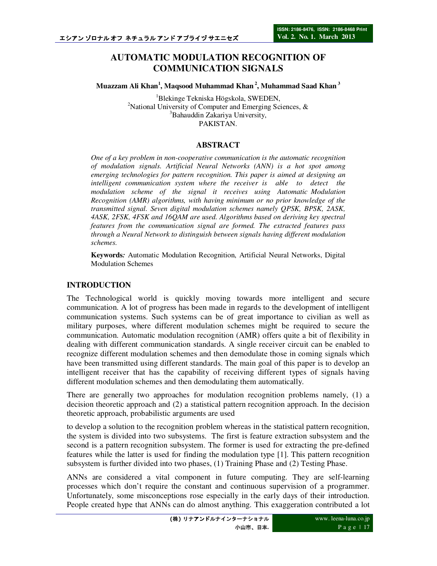# **AUTOMATIC MODULATION RECOGNITION OF COMMUNICATION SIGNALS**

**Muazzam Ali Khan<sup>1</sup> , Maqsood Muhammad Khan<sup>2</sup>, Muhammad Saad Khan<sup>3</sup>**

<sup>1</sup>Blekinge Tekniska Högskola, SWEDEN, <sup>2</sup>National University of Computer and Emerging Sciences,  $\&$ <sup>3</sup>Bahauddin Zakariya University, PAKISTAN.

### **ABSTRACT**

*One of a key problem in non-cooperative communication is the automatic recognition of modulation signals. Artificial Neural Networks (ANN) is a hot spot among emerging technologies for pattern recognition. This paper is aimed at designing an intelligent communication system where the receiver is able to detect the modulation scheme of the signal it receives using Automatic Modulation Recognition (AMR) algorithms, with having minimum or no prior knowledge of the transmitted signal. Seven digital modulation schemes namely QPSK, BPSK, 2ASK, 4ASK, 2FSK, 4FSK and 16QAM are used. Algorithms based on deriving key spectral features from the communication signal are formed. The extracted features pass through a Neural Network to distinguish between signals having different modulation schemes.* 

**Keywords***:* Automatic Modulation Recognition, Artificial Neural Networks, Digital Modulation Schemes

### **INTRODUCTION**

The Technological world is quickly moving towards more intelligent and secure communication. A lot of progress has been made in regards to the development of intelligent communication systems. Such systems can be of great importance to civilian as well as military purposes, where different modulation schemes might be required to secure the communication. Automatic modulation recognition (AMR) offers quite a bit of flexibility in dealing with different communication standards. A single receiver circuit can be enabled to recognize different modulation schemes and then demodulate those in coming signals which have been transmitted using different standards. The main goal of this paper is to develop an intelligent receiver that has the capability of receiving different types of signals having different modulation schemes and then demodulating them automatically.

There are generally two approaches for modulation recognition problems namely, (1) a decision theoretic approach and (2) a statistical pattern recognition approach. In the decision theoretic approach, probabilistic arguments are used

to develop a solution to the recognition problem whereas in the statistical pattern recognition, the system is divided into two subsystems. The first is feature extraction subsystem and the second is a pattern recognition subsystem. The former is used for extracting the pre-defined features while the latter is used for finding the modulation type [1]. This pattern recognition subsystem is further divided into two phases, (1) Training Phase and (2) Testing Phase.

ANNs are considered a vital component in future computing. They are self-learning processes which don't require the constant and continuous supervision of a programmer. Unfortunately, some misconceptions rose especially in the early days of their introduction. People created hype that ANNs can do almost anything. This exaggeration contributed a lot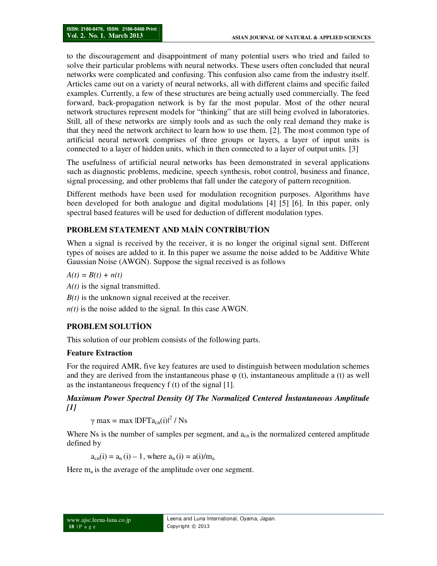to the discouragement and disappointment of many potential users who tried and failed to solve their particular problems with neural networks. These users often concluded that neural networks were complicated and confusing. This confusion also came from the industry itself. Articles came out on a variety of neural networks, all with different claims and specific failed examples. Currently, a few of these structures are being actually used commercially. The feed forward, back-propagation network is by far the most popular. Most of the other neural network structures represent models for "thinking" that are still being evolved in laboratories. Still, all of these networks are simply tools and as such the only real demand they make is that they need the network architect to learn how to use them. [2]. The most common type of artificial neural network comprises of three groups or layers, a layer of input units is connected to a layer of hidden units, which in then connected to a layer of output units. [3]

The usefulness of artificial neural networks has been demonstrated in several applications such as diagnostic problems, medicine, speech synthesis, robot control, business and finance, signal processing, and other problems that fall under the category of pattern recognition.

Different methods have been used for modulation recognition purposes. Algorithms have been developed for both analogue and digital modulations [4] [5] [6]. In this paper, only spectral based features will be used for deduction of different modulation types.

# **PROBLEM STATEMENT AND MAĐN CONTRĐBUTĐON**

When a signal is received by the receiver, it is no longer the original signal sent. Different types of noises are added to it. In this paper we assume the noise added to be Additive White Gaussian Noise (AWGN). Suppose the signal received is as follows

 $A(t) = B(t) + n(t)$ 

*A(t)* is the signal transmitted.

*B(t)* is the unknown signal received at the receiver.

*n(t)* is the noise added to the signal. In this case AWGN.

# **PROBLEM SOLUTĐON**

This solution of our problem consists of the following parts.

## **Feature Extraction**

For the required AMR, five key features are used to distinguish between modulation schemes and they are derived from the instantaneous phase  $\varphi$  (t), instantaneous amplitude a (t) as well as the instantaneous frequency f (t) of the signal [1].

## *Maximum Power Spectral Density Of The Normalized Centered Instantaneous Amplitude [1]*

 $\gamma$  max = max  $|DFTa_{cn}(i)|^2 / Ns$ 

Where Ns is the number of samples per segment, and  $a_{cn}$  is the normalized centered amplitude defined by

 $a_{cn}(i) = a_n(i) - 1$ , where  $a_n(i) = a(i)/m_a$ 

Here  $m_a$  is the average of the amplitude over one segment.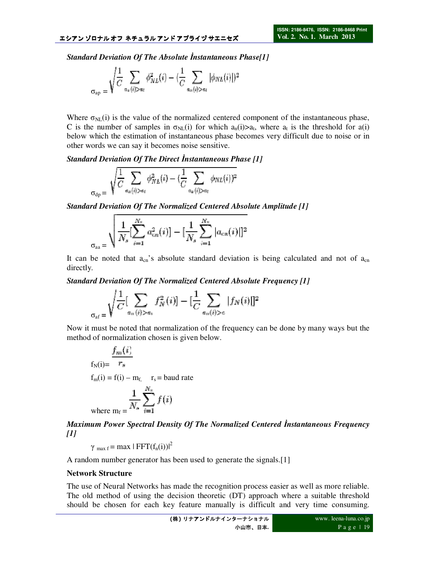*Standard Deviation Of The Absolute Instantaneous Phase[1]* 

$$
\sigma_{\rm ap} = \sqrt{\frac{1}{C}\sum_{a_n(i)>a_t}\phi_{NL}^2(i)} - (\frac{1}{C}\sum_{a_n(i)>a_t}|\phi_{NL}(i)|)^2
$$

Where  $\sigma_{NL}(i)$  is the value of the normalized centered component of the instantaneous phase, C is the number of samples in  $\sigma_{NL}(i)$  for which  $a_n(i) > a_t$ , where  $a_t$  is the threshold for  $a(i)$ below which the estimation of instantaneous phase becomes very difficult due to noise or in other words we can say it becomes noise sensitive.

*Standard Deviation Of The Direct Instantaneous Phase [1]* 

$$
\sigma_{\mathrm{dp}} = \sqrt{\frac{1}{C}\sum_{a_n(i)>a_t}\phi_{NL}^2(i) - (\frac{1}{C}\sum_{a_n(i)>a_t}\phi_{NL}(i))^2}
$$

*Standard Deviation Of The Normalized Centered Absolute Amplitude [1]* 

$$
\frac{1}{\sigma_{\rm aa}} \sqrt{\frac{1}{N_s} [\sum_{i=1}^{N_s} a_{cn}^2(i)] - [\frac{1}{N_s} \sum_{i=1}^{N_s} |a_{cn}(i)|]^2}
$$

It can be noted that  $a_{cn}$ 's absolute standard deviation is being calculated and not of  $a_{cn}$ directly.

*Standard Deviation Of The Normalized Centered Absolute Frequency [1]* 

$$
\sum_{\sigma_{\text{af}} = \sqrt{\frac{1}{C} [\sum_{a_n(i) > a_i} f_N^2(i)] - [\frac{1}{C} \sum_{a_n(i) > c} |f_N(i)|]^2}
$$

Now it must be noted that normalization of the frequency can be done by many ways but the method of normalization chosen is given below.

$$
f_{N}(i) = \frac{f_{m}(i)}{r_{s}}
$$
  
\n
$$
f_{m}(i) = f(i) - m_{f, r_{s}} = b \text{ and rate}
$$
  
\n
$$
\frac{1}{N_{s}} \sum_{i=1}^{N_{s}} f(i)
$$
  
\nwhere  $m_{f} = \frac{1}{N_{s}} \sum_{i=1}^{N_{s}} f(i)$ 

*Maximum Power Spectral Density Of The Normalized Centered Instantaneous Frequency [1]* 

 $\gamma_{\text{max f}} = \max | \text{FFT}(f_n(i))|^2$ 

A random number generator has been used to generate the signals.[1]

#### **Network Structure**

The use of Neural Networks has made the recognition process easier as well as more reliable. The old method of using the decision theoretic (DT) approach where a suitable threshold should be chosen for each key feature manually is difficult and very time consuming.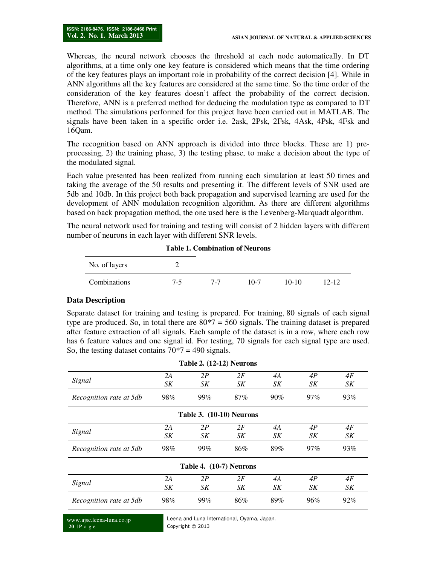Whereas, the neural network chooses the threshold at each node automatically. In DT algorithms, at a time only one key feature is considered which means that the time ordering of the key features plays an important role in probability of the correct decision [4]. While in ANN algorithms all the key features are considered at the same time. So the time order of the consideration of the key features doesn't affect the probability of the correct decision. Therefore, ANN is a preferred method for deducing the modulation type as compared to DT method. The simulations performed for this project have been carried out in MATLAB. The signals have been taken in a specific order i.e. 2ask, 2Psk, 2Fsk, 4Ask, 4Psk, 4Fsk and 16Qam.

The recognition based on ANN approach is divided into three blocks. These are 1) preprocessing, 2) the training phase, 3) the testing phase, to make a decision about the type of the modulated signal.

Each value presented has been realized from running each simulation at least 50 times and taking the average of the 50 results and presenting it. The different levels of SNR used are 5db and 10db. In this project both back propagation and supervised learning are used for the development of ANN modulation recognition algorithm. As there are different algorithms based on back propagation method, the one used here is the Levenberg-Marquadt algorithm.

The neural network used for training and testing will consist of 2 hidden layers with different number of neurons in each layer with different SNR levels.

**Table 1. Combination of Neurons** 

#### **Data Description**

Separate dataset for training and testing is prepared. For training, 80 signals of each signal type are produced. So, in total there are  $80*7 = 560$  signals. The training dataset is prepared after feature extraction of all signals. Each sample of the dataset is in a row, where each row has 6 feature values and one signal id. For testing, 70 signals for each signal type are used. So, the testing dataset contains  $70*7 = 490$  signals.

**Table 2. (12-12) Neurons** 

|                         |     |                         | Table 2. (12-12) Neurons        |     |        |     |
|-------------------------|-----|-------------------------|---------------------------------|-----|--------|-----|
| Signal                  | 2A  | 2P                      | 2F                              | 4A  | 4P     | 4F  |
|                         | SK  | SK                      | SK                              | SK  | SK     | SK  |
| Recognition rate at 5db | 98% | 99%                     | $87\%$                          | 90% | $97\%$ | 93% |
|                         |     |                         | <b>Table 3. (10-10) Neurons</b> |     |        |     |
| Signal                  | 2A  | 2P                      | 2F                              | 4A  | 4P     | 4F  |
|                         | SK  | SK                      | SK                              | SK  | SK     | SK  |
| Recognition rate at 5db | 98% | 99%                     | 86%                             | 89% | $97\%$ | 93% |
|                         |     | Table 4. (10-7) Neurons |                                 |     |        |     |
| Signal                  | 2A  | 2P                      | 2F                              | 4A  | 4P     | 4F  |
|                         | SK  | SK                      | SK                              | SK  | SK     | SK  |
| Recognition rate at 5db | 98% | 99%                     | 86%                             | 89% | 96%    | 92% |

www.ajsc.leena-luna.co.jp **20** | P a g e

Leena and Luna International, Oyama, Japan. Copyright © 2013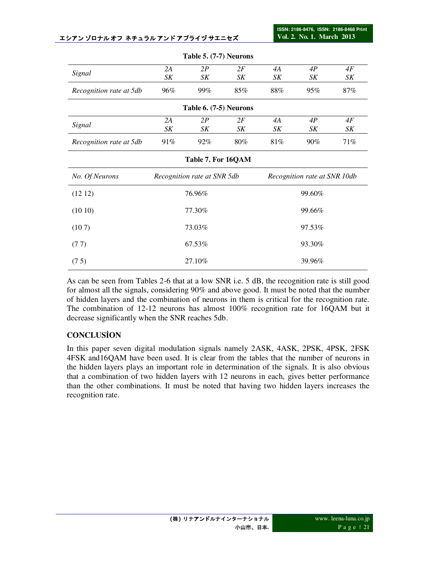**ISSN: 2186-8476, ISSN: 2186-8468 Print Vol. 2. No. 1. March 2013**

|                         |                             | <b>Table 5.</b> $(7-7)$ Neurons |     |                              |        |        |  |
|-------------------------|-----------------------------|---------------------------------|-----|------------------------------|--------|--------|--|
| Signal                  | 2A<br>2P                    |                                 | 2F  | 4A                           | 4P     | 4F     |  |
|                         | SK                          | SK                              | SK  | SK                           | SK     | SK     |  |
| Recognition rate at 5db | 96%                         | 99%                             | 85% | 88%                          | 95%    | $87\%$ |  |
|                         |                             | Table 6. (7-5) Neurons          |     |                              |        |        |  |
| Signal                  | 2A                          | 2P                              | 2F  | 4A                           | 4P     | 4F     |  |
|                         | SK                          | SK                              | SK  | SK                           | SK     | SK     |  |
| Recognition rate at 5db | 91%                         | 92%                             | 80% | 81%                          | $90\%$ | 71%    |  |
|                         |                             | Table 7. For 16QAM              |     |                              |        |        |  |
| No. Of Neurons          | Recognition rate at SNR 5db |                                 |     | Recognition rate at SNR 10db |        |        |  |
| (1212)                  |                             | 76.96%                          |     | 99.60%                       |        |        |  |
| (1010)                  |                             | 77.30%                          |     | 99.66%                       |        |        |  |
| (107)                   |                             | 73.03%                          |     | 97.53%                       |        |        |  |
| (77)                    |                             | 67.53%                          |     | 93.30%                       |        |        |  |
| (75)                    |                             | 27.10%                          |     | 39.96%                       |        |        |  |

**Table 5. (7-7) Neurons** 

As can be seen from Tables 2-6 that at a low SNR i.e. 5 dB, the recognition rate is still good for almost all the signals, considering 90% and above good. It must be noted that the number of hidden layers and the combination of neurons in them is critical for the recognition rate. The combination of 12-12 neurons has almost 100% recognition rate for 16QAM but it decrease significantly when the SNR reaches 5db.

## **CONCLUSĐON**

In this paper seven digital modulation signals namely 2ASK, 4ASK, 2PSK, 4PSK, 2FSK 4FSK and16QAM have been used. It is clear from the tables that the number of neurons in the hidden layers plays an important role in determination of the signals. It is also obvious that a combination of two hidden layers with 12 neurons in each, gives better performance than the other combinations. It must be noted that having two hidden layers increases the recognition rate.